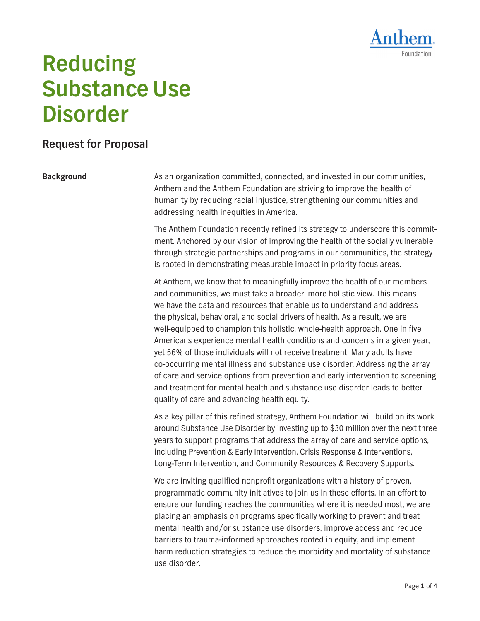

# **Reducing Substance Use Disorder**

## **Request for Proposal**

**Background** As an organization committed, connected, and invested in our communities, Anthem and the Anthem Foundation are striving to improve the health of humanity by reducing racial injustice, strengthening our communities and addressing health inequities in America.

> The Anthem Foundation recently refined its strategy to underscore this commitment. Anchored by our vision of improving the health of the socially vulnerable through strategic partnerships and programs in our communities, the strategy is rooted in demonstrating measurable impact in priority focus areas.

> At Anthem, we know that to meaningfully improve the health of our members and communities, we must take a broader, more holistic view. This means we have the data and resources that enable us to understand and address the physical, behavioral, and social drivers of health. As a result, we are well-equipped to champion this holistic, whole-health approach. One in five Americans experience mental health conditions and concerns in a given year, yet 56% of those individuals will not receive treatment. Many adults have co-occurring mental illness and substance use disorder. Addressing the array of care and service options from prevention and early intervention to screening and treatment for mental health and substance use disorder leads to better quality of care and advancing health equity.

> As a key pillar of this refined strategy, Anthem Foundation will build on its work around Substance Use Disorder by investing up to \$30 million over the next three years to support programs that address the array of care and service options, including Prevention & Early Intervention, Crisis Response & Interventions, Long-Term Intervention, and Community Resources & Recovery Supports.

We are inviting qualified nonprofit organizations with a history of proven, programmatic community initiatives to join us in these efforts. In an effort to ensure our funding reaches the communities where it is needed most, we are placing an emphasis on programs specifically working to prevent and treat mental health and/or substance use disorders, improve access and reduce barriers to trauma-informed approaches rooted in equity, and implement harm reduction strategies to reduce the morbidity and mortality of substance use disorder.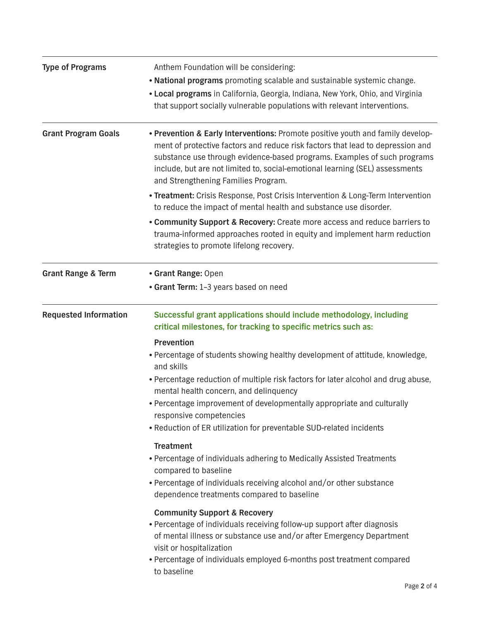| <b>Type of Programs</b>       | Anthem Foundation will be considering:                                                                                                                                                                                                                                                                                                                              |  |
|-------------------------------|---------------------------------------------------------------------------------------------------------------------------------------------------------------------------------------------------------------------------------------------------------------------------------------------------------------------------------------------------------------------|--|
|                               | . National programs promoting scalable and sustainable systemic change.                                                                                                                                                                                                                                                                                             |  |
|                               | . Local programs in California, Georgia, Indiana, New York, Ohio, and Virginia<br>that support socially vulnerable populations with relevant interventions.                                                                                                                                                                                                         |  |
| <b>Grant Program Goals</b>    | . Prevention & Early Interventions: Promote positive youth and family develop-<br>ment of protective factors and reduce risk factors that lead to depression and<br>substance use through evidence-based programs. Examples of such programs<br>include, but are not limited to, social-emotional learning (SEL) assessments<br>and Strengthening Families Program. |  |
|                               | . Treatment: Crisis Response, Post Crisis Intervention & Long-Term Intervention<br>to reduce the impact of mental health and substance use disorder.                                                                                                                                                                                                                |  |
|                               | • Community Support & Recovery: Create more access and reduce barriers to<br>trauma-informed approaches rooted in equity and implement harm reduction<br>strategies to promote lifelong recovery.                                                                                                                                                                   |  |
| <b>Grant Range &amp; Term</b> | • Grant Range: Open                                                                                                                                                                                                                                                                                                                                                 |  |
|                               | • Grant Term: 1-3 years based on need                                                                                                                                                                                                                                                                                                                               |  |
| <b>Requested Information</b>  | Successful grant applications should include methodology, including<br>critical milestones, for tracking to specific metrics such as:                                                                                                                                                                                                                               |  |
|                               | <b>Prevention</b>                                                                                                                                                                                                                                                                                                                                                   |  |
|                               | . Percentage of students showing healthy development of attitude, knowledge,<br>and skills                                                                                                                                                                                                                                                                          |  |
|                               | . Percentage reduction of multiple risk factors for later alcohol and drug abuse,<br>mental health concern, and delinquency                                                                                                                                                                                                                                         |  |
|                               | • Percentage improvement of developmentally appropriate and culturally<br>responsive competencies                                                                                                                                                                                                                                                                   |  |
|                               | • Reduction of ER utilization for preventable SUD-related incidents                                                                                                                                                                                                                                                                                                 |  |
|                               | <b>Treatment</b><br>• Percentage of individuals adhering to Medically Assisted Treatments<br>compared to baseline<br>• Percentage of individuals receiving alcohol and/or other substance<br>dependence treatments compared to baseline                                                                                                                             |  |
|                               | <b>Community Support &amp; Recovery</b><br>• Percentage of individuals receiving follow-up support after diagnosis<br>of mental illness or substance use and/or after Emergency Department<br>visit or hospitalization<br>• Percentage of individuals employed 6-months post treatment compared<br>to baseline                                                      |  |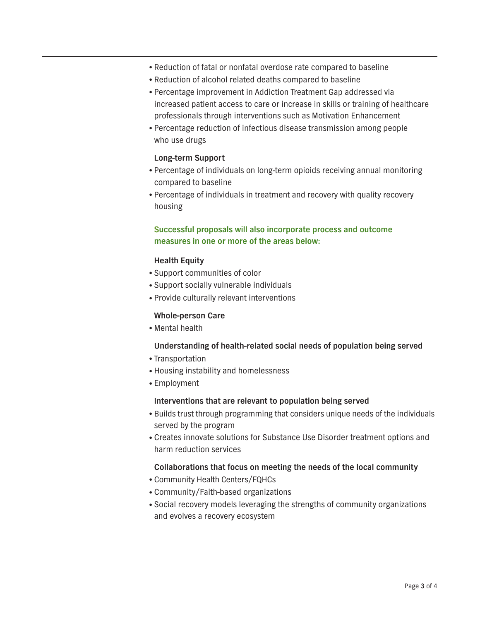- Reduction of fatal or nonfatal overdose rate compared to baseline
- Reduction of alcohol related deaths compared to baseline
- Percentage improvement in Addiction Treatment Gap addressed via increased patient access to care or increase in skills or training of healthcare professionals through interventions such as Motivation Enhancement
- Percentage reduction of infectious disease transmission among people who use drugs

#### **Long-term Support**

- Percentage of individuals on long-term opioids receiving annual monitoring compared to baseline
- Percentage of individuals in treatment and recovery with quality recovery housing

### **Successful proposals will also incorporate process and outcome measures in one or more of the areas below:**

#### **Health Equity**

- Support communities of color
- Support socially vulnerable individuals
- Provide culturally relevant interventions

#### **Whole-person Care**

• Mental health

#### **Understanding of health-related social needs of population being served**

- Transportation
- Housing instability and homelessness
- Employment

#### **Interventions that are relevant to population being served**

- Builds trust through programming that considers unique needs of the individuals served by the program
- Creates innovate solutions for Substance Use Disorder treatment options and harm reduction services

#### **Collaborations that focus on meeting the needs of the local community**

- Community Health Centers/FQHCs
- Community/Faith-based organizations
- Social recovery models leveraging the strengths of community organizations and evolves a recovery ecosystem